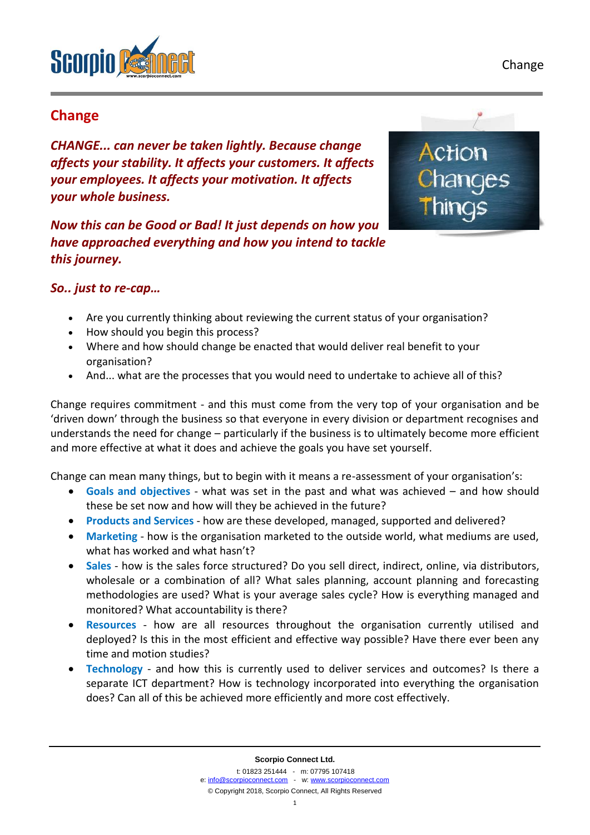Change



## **Change**

*CHANGE... can never be taken lightly. Because change affects your stability. It affects your customers. It affects your employees. It affects your motivation. It affects your whole business.*

*Now this can be Good or Bad! It just depends on how you have approached everything and how you intend to tackle this journey.* 



## *So.. just to re-cap…*

- Are you currently thinking about reviewing the current status of your organisation?
- How should you begin this process?
- Where and how should change be enacted that would deliver real benefit to your organisation?
- And... what are the processes that you would need to undertake to achieve all of this?

Change requires commitment - and this must come from the very top of your organisation and be 'driven down' through the business so that everyone in every division or department recognises and understands the need for change – particularly if the business is to ultimately become more efficient and more effective at what it does and achieve the goals you have set yourself.

Change can mean many things, but to begin with it means a re-assessment of your organisation's:

- **Goals and objectives**  what was set in the past and what was achieved and how should these be set now and how will they be achieved in the future?
- **Products and Services** how are these developed, managed, supported and delivered?
- **Marketing** how is the organisation marketed to the outside world, what mediums are used, what has worked and what hasn't?
- **Sales** how is the sales force structured? Do you sell direct, indirect, online, via distributors, wholesale or a combination of all? What sales planning, account planning and forecasting methodologies are used? What is your average sales cycle? How is everything managed and monitored? What accountability is there?
- **Resources** how are all resources throughout the organisation currently utilised and deployed? Is this in the most efficient and effective way possible? Have there ever been any time and motion studies?
- **Technology** and how this is currently used to deliver services and outcomes? Is there a separate ICT department? How is technology incorporated into everything the organisation does? Can all of this be achieved more efficiently and more cost effectively.